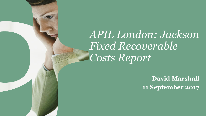*APIL London: Jackson Fixed Recoverable Costs Report*

> **David Marshall 11 September 2017**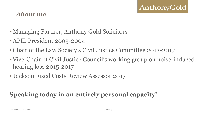#### *About me*

- Managing Partner, Anthony Gold Solicitors
- APIL President 2003-2004
- Chair of the Law Society's Civil Justice Committee 2013-2017
- Vice-Chair of Civil Justice Council's working group on noise-induced hearing loss 2015-2017
- Jackson Fixed Costs Review Assessor 2017

# **Speaking today in an entirely personal capacity!**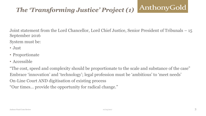#### AnthonyGold *The 'Transforming Justice' Project (1)*

Joint statement from the Lord Chancellor, Lord Chief Justice, Senior President of Tribunals – 15 September 2016

System must be:

- Just
- Proportionate
- Accessible

"The cost, speed and complexity should be proportionate to the scale and substance of the case" Embrace 'innovation' and 'technology'; legal profession must be 'ambitious' to 'meet needs' On-Line Court AND digitisation of existing process "Our times… provide the opportunity for radical change."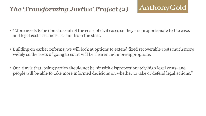# *The 'Transforming Justice' Project (2)*

- "More needs to be done to control the costs of civil cases so they are proportionate to the case, and legal costs are more certain from the start.
- Building on earlier reforms, we will look at options to extend fixed recoverable costs much more widely so the costs of going to court will be clearer and more appropriate.
- Our aim is that losing parties should not be hit with disproportionately high legal costs, and people will be able to take more informed decisions on whether to take or defend legal actions."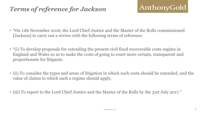# *Terms of reference for Jackson*

- "On 11th November 2016, the Lord Chief Justice and the Master of the Rolls commissioned [Jackson] to carry out a review with the following terms of reference:
- "(i) To develop proposals for extending the present civil fixed recoverable costs regime in England and Wales so as to make the costs of going to court more certain, transparent and proportionate for litigants.
- (ii) To consider the types and areas of litigation in which such costs should be extended, and the value of claims to which such a regime should apply.
- (iii) To report to the Lord Chief Justice and the Master of the Rolls by the 31st July 2017."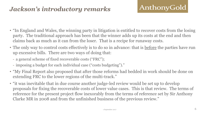## *Jackson's introductory remarks*

- "In England and Wales, the winning party in litigation is entitled to recover costs from the losing party. The traditional approach has been that the winner adds up its costs at the end and then claims back as much as it can from the loser. That is a recipe for runaway costs.
- The only way to control costs effectively is to do so in advance: that is <u>before</u> the parties have run up excessive bills. There are two ways of doing that:
	- a general scheme of fixed recoverable costs ("FRC");
	- imposing a budget for each individual case ("costs budgeting")."
- "My Final Report also proposed that after those reforms had bedded in work should be done on extending FRC to the lower regions of the multi-track."
- "it was inevitable that in due course another judge-led review would be set up to develop proposals for fixing the recoverable costs of lower value cases. This is that review. The terms of reference for the present project flow inexorably from the terms of reference set by Sir Anthony Clarke MR in 2008 and from the unfinished business of the previous review."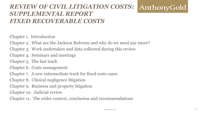#### *REVIEW OF CIVIL LITIGATION COSTS:* AnthonyGold *SUPPLEMENTAL REPORT FIXED RECOVERABLE COSTS*

Chapter 1. Introduction

Chapter 2. What are the Jackson Reforms and why do we need any more?

Chapter 3. Work undertaken and data collected during this review

Chapter 4. Seminars and meetings

Chapter 5. The fast track

Chapter 6. Costs management

Chapter 7. A new intermediate track for fixed costs cases

Chapter 8. Clinical negligence litigation

Chapter 9. Business and property litigation

Chapter 10. Judicial review

Chapter 11. The wider context, conclusion and recommendations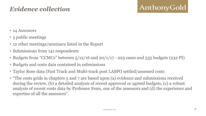## *Evidence collection*

- 14 Assessors
- 5 public meetings
- 12 other meetings/seminars listed in the Report
- Submissions from 141 respondents
- Budgets from "CCMCs" between  $5/12/16$  and  $20/1/17$  223 cases and 535 budgets (232 PI)
- Budgets and costs data contained in submissions
- Taylor Rose data (Fast Track and Multi-track post LASPO settled/assessed costs
- "The costs grids in chapters 5 and 7 are based upon (a) evidence and submissions received during the review, (b) a detailed analysis of recent approved or agreed budgets, (c) a robust analysis of recent costs data by Professor Fenn, one of the assessors and (d) the experience and expertise of all the assessors".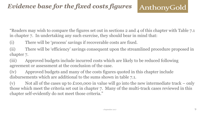"Readers may wish to compare the figures set out in sections 2 and 4 of this chapter with Table 7.1 in chapter 7. In undertaking any such exercise, they should bear in mind that:

(i) There will be 'process' savings if recoverable costs are fixed.

(ii) There will be 'efficiency' savings consequent upon the streamlined procedure proposed in chapter 7.

(iii) Approved budgets include incurred costs which are likely to be reduced following agreement or assessment at the conclusion of the case.

(iv) Approved budgets and many of the costs figures quoted in this chapter include disbursements which are additional to the sums shown in table 7.1.

(v) Not all of the cases up to  $\pounds$ 100,000 in value will go into the new intermediate track – only those which meet the criteria set out in chapter 7. Many of the multi-track cases reviewed in this chapter self-evidently do not meet those criteria."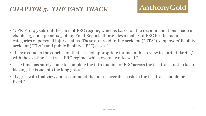## *CHAPTER 5. THE FAST TRACK*

- "CPR Part 45 sets out the current FRC regime, which is based on the recommendations made in chapter 15 and appendix 5 of my Final Report. It provides a matrix of FRC for the main categories of personal injury claims. These are: road traffic accident ("RTA"), employers' liability accident ("ELA") and public liability ("PL") cases."
- "I have come to the conclusion that it is not appropriate for me in this review to start 'tinkering' with the existing fast track FRC regime, which overall works well."
- "The time has surely come to complete the introduction of FRC across the fast track, not to keep kicking the issue into the long grass."
- "I agree with that view and recommend that all recoverable costs in the fast track should be fixed."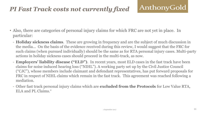# *PI Fast Track costs not currently fixed*

- Also, there are categories of personal injury claims for which FRC are not yet in place. In particular:
	- **Holiday sickness claims**. These are growing in frequency and are the subject of much discussion in the media... On the basis of the evidence received during this review, I would suggest that the FRC for such claims (when pursued individually) should be the same as for RTA personal injury cases. Multi-party actions in holiday sickness cases should proceed in the multi-track, as now.
	- **Employers' liability disease ("ELD")**. In recent years, most ELD cases in the fast track have been claims for noise induced hearing loss ("NIHL"). A working party set up by the Civil Justice Council ("CJC"), whose members include claimant and defendant representatives, has put forward proposals for FRC in respect of NIHL claims which remain in the fast track. This agreement was reached following a mediation.
	- Other fast track personal injury claims which are **excluded from the Protocols** for Low Value RTA, ELA and PL Claims."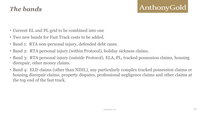### *The bands*

- Current EL and PL grid to be combined into one
- Two new bands for Fast Track costs to be added.
- Band 1: RTA non-personal injury, defended debt cases.
- Band 2: RTA personal injury (within Protocol), holiday sickness claims.
- Band 3: RTA personal injury (outside Protocol), ELA, PL, tracked possession claims, housing disrepair, other money claims.
- Band 4: ELD claims (other than NIHL), any particularly complex tracked possession claims or housing disrepair claims, property disputes, professional negligence claims and other claims at the top end of the fast track.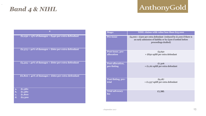### *Band 4 & NIHL*

.

| £2,250 + 15% of damages + £440 per extra defendant |
|----------------------------------------------------|
| £2,575 + 40% of damages + £660 per extra defendant |
| £5,525 + 40% of damages + £660 per extra defendant |
| £6,800 + 40% of damages + £660 per extra defendant |
| £1,380<br>a.                                       |
| $\mathbf{b}$ .<br>£1,380                           |
| £1,800<br>$\mathbf{c}$ .                           |
| d.<br>£2,500                                       |

| <b>Stage:</b>                | NIHL claims with value less than £25,000                                                                                                                 |  |  |  |
|------------------------------|----------------------------------------------------------------------------------------------------------------------------------------------------------|--|--|--|
| <b>Pre-issue</b>             | £4,000 + £500 per extra defendant (reduced by £1,000 if there is<br>an early admission of liability or by £500 if settled before<br>proceedings drafted) |  |  |  |
| Post-issue, pre-             | £5,650                                                                                                                                                   |  |  |  |
| allocation                   | + £830 uplift per extra defendant                                                                                                                        |  |  |  |
| Post-allocation,             | £7,306                                                                                                                                                   |  |  |  |
| pre-listing                  | $+$ £1,161 uplift per extra defendant                                                                                                                    |  |  |  |
| Post-listing, pre-           | £9,187                                                                                                                                                   |  |  |  |
| trial                        | $+ E1,537$ uplift per extra defendant                                                                                                                    |  |  |  |
| <b>Trial advocacy</b><br>fee | £1,380.                                                                                                                                                  |  |  |  |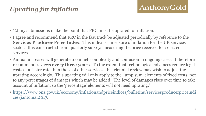# *Uprating for inflation*

- "Many submissions make the point that FRC must be uprated for inflation.
- I agree and recommend that FRC in the fast track be adjusted periodically by reference to the **Services Producer Price Index**. This index is a measure of inflation for the UK services sector. It is constructed from quarterly surveys measuring the price received for selected services.
- Annual increases will generate too much complexity and confusion in ongoing cases. I therefore recommend reviews **every three years**. To the extent that technological advances reduce legal costs at a faster rate than those of other services, the triennial review may wish to adjust the uprating accordingly. This uprating will only apply to the 'lump sum' elements of fixed costs, not to any percentages of damages which may be added. The level of damages rises over time to take account of inflation, so the 'percentage' elements will not need uprating."
- [https://www.ons.gov.uk/economy/inflationandpriceindices/bulletins/servicesproducerpriceindi](https://www.ons.gov.uk/economy/inflationandpriceindices/bulletins/servicesproducerpriceindices/jantomar2017) [ces/jantomar2017.](https://www.ons.gov.uk/economy/inflationandpriceindices/bulletins/servicesproducerpriceindices/jantomar2017)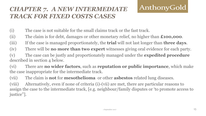### *CHAPTER 7. A NEW INTERMEDIATE TRACK FOR FIXED COSTS CASES*

- (i) The case is not suitable for the small claims track or the fast track.
- (ii) The claim is for debt, damages or other monetary relief, no higher than **£100,000**.
- (iii) If the case is managed proportionately, the **trial** will not last longer than **three days**.
- (iv) There will be **no more than two expert** witnesses giving oral evidence for each party.
- (v) The case can be justly and proportionately managed under the **expedited procedure**  described in section 4 below.
- (vi) There are **no wider factors**, such as **reputation or public importance**, which make the case inappropriate for the intermediate track.
- (vii) The claim is **not** for **mesothelioma** or other **asbestos** related lung diseases.
- (viii) Alternatively, even if none of criteria (i)-(vii) are met, there are particular reasons to assign the case to the intermediate track, [e.g. neighbour/family disputes or 'to promote access to justice"].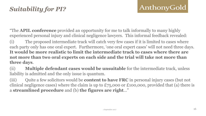"The **APIL conference** provided an opportunity for me to talk informally to many highly experienced personal injury and clinical negligence lawyers. This informal feedback revealed:

(i) The proposed intermediate track will catch very few cases if it is limited to cases where each party only has one oral expert. Furthermore, 'one oral expert cases' will not need three days. **It would be more realistic to limit the intermediate track to cases where there are not more than two oral experts on each side and the trial will take not more than three days**.

(ii) **Multiple defendant cases would be unsuitable** for the intermediate track, unless liability is admitted and the only issue is quantum.

(iii) Quite a few solicitors would be **content to have FRC** in personal injury cases (but not clinical negligence cases) where the claim is up to £75,000 or £100,000, provided that (a) there is a **streamlined procedure** and (b) **the figures are right**…"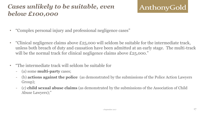# *Cases unlikely to be suitable, even below £100,000*

- "Complex personal injury and professional negligence cases"
- "Clinical negligence claims above £25,000 will seldom be suitable for the intermediate track, unless both breach of duty and causation have been admitted at an early stage. The multi-track will be the normal track for clinical negligence claims above £25,000."
- "The intermediate track will seldom be suitable for
	- (a) some **multi-party** cases;
	- (b) **actions against the police** (as demonstrated by the submissions of the Police Action Lawyers Group);
	- (c) **child sexual abuse claims** (as demonstrated by the submissions of the Association of Child Abuse Lawyers);"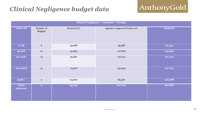# *Clinical Negligence budget data*

| Clinical Negligence - Claimant - Average |                             |                |                                 |           |  |  |
|------------------------------------------|-----------------------------|----------------|---------------------------------|-----------|--|--|
| Value (£)                                | Number of<br><b>Budgets</b> | Incurred $(E)$ | Agreed or Approved Future $(E)$ | Total (£) |  |  |
| $0-25k$                                  | $6\,$                       | 35,988         | 59,568                          | 95,555    |  |  |
| 25-50k                                   | $12\,$                      | 47,965         | 107,665                         | 155,630   |  |  |
| <b>50-100k</b>                           | 15                          | 59,987         | 137,214                         | 197,200   |  |  |
| 100-250k                                 | 13                          | 74,920         | 152,695                         | 227,615   |  |  |
| $250k+$                                  | $\mathbf 2$                 | 64,062         | 85,526                          | 149,588   |  |  |
| <b>Value</b><br>unknown                  | $\overline{\mathbf{3}}$     | 93,640         | 227,221                         | 320,861   |  |  |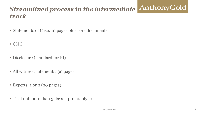#### AnthonyGold *Streamlined process in the intermediate track*

- Statements of Case: 10 pages plus core documents
- CMC
- Disclosure (standard for PI)
- All witness statements: 30 pages
- Experts: 1 or 2 (20 pages)
- Trial not more than 3 days preferably less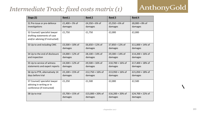#### *Intermediate Track: fixed costs matrix (1)*

# AnthonyGold

| Stage (S)                                                    | <b>Band 1</b>              | <b>Band 2</b>              | <b>Band 3</b>              | Band 4                      |
|--------------------------------------------------------------|----------------------------|----------------------------|----------------------------|-----------------------------|
| S1 Pre-issue or pre-defence                                  | £1,400 + 3% of             | £4,350 + 6% of             | £5,550 + 6% of             | £8,000 + 8% of              |
| investigations                                               | damages                    | damages                    | damages                    | damages                     |
| S2 Counsel/ specialist lawyer<br>drafting statements of case | £1,750                     | £1,750                     | £2,000                     | £2,000                      |
| and/or advising (if instructed)                              |                            |                            |                            |                             |
| S3 Up to and including CMC                                   | £3,500 + 10% of<br>damages | £6,650 + 12% of<br>damages | £7,850 + 12% of<br>damages | £11,000 + 14% of<br>damages |
| S4 Up to the end of disclosure                               | £4,000 + 12% of            | £8,100 + 14% of            | £9,300 + 14% of            | £14,200 + 16% of            |
| and inspection                                               | damages                    | damages                    | damages                    | damages                     |
| S5 Up to service of witness                                  | £4,500 + 12% of            | £9,500 + 16% of            | £10,700 + 16% of           | £17,400 + 18% of            |
| statements and expert reports                                | damages                    | damages                    | damages                    | damages                     |
| S6 Up to PTR, alternatively 14                               | £5,100 + 15% of            | £12,750 + 16% of           | £13,950 + 16% of           | £21,050 + 18% of            |
| days before trial                                            | damages                    | damages                    | damages                    | damages                     |
| S7 Counsel/ specialist lawyer<br>advising in writing or in   | £1,250                     | £1,500                     | £2,000                     | £2,500                      |
| conference (if instructed)                                   |                            |                            |                            |                             |
| S8 Up to trial                                               | £5,700 + 15% of            | £15,000 + 20% of           | £16,200 + 20% of           | £24,700 + 22% of            |
|                                                              | damages                    | damages                    | damages                    | damages                     |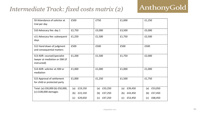#### *Intermediate Track: fixed costs matrix (2)*

| S9 Attendance of solicitor at<br>trial per day                               | £500           | £750           | £1,000         | £1,250         |
|------------------------------------------------------------------------------|----------------|----------------|----------------|----------------|
| S10 Advocacy fee: day 1                                                      | £2,750         | £3,000         | £3,500         | £5,000         |
| s11 Advocacy fee: subsequent<br>days                                         | £1,250         | £1,500         | £1,750         | £2,500         |
| S12 Hand down of judgment<br>and consequential matters                       | £500           | £500           | £500           | £500           |
| S13 ADR: counsel/specialist<br>lawyer at mediation or JSM (if<br>instructed) | £1,200         | £1,500         | £1,750         | £2,000         |
| S14 ADR: solicitor at JSM or<br>mediation                                    | £1,000         | £1,000         | £1,000         | £1,000         |
| S15 Approval of settlement<br>for child or protected party                   | £1,000         | £1,250         | £1,500         | £1,750         |
| Total: (a) £30,000 (b) £50,000,                                              | £19,150<br>(a) | £33,250<br>(a) | £39,450<br>(a) | £53,050<br>(a) |
| (c) £100,000 damages                                                         | £22,150<br>(b) | £37,250<br>(b) | £43,450<br>(b) | £57,450<br>(b) |
|                                                                              | £29,650<br>(c) | £47,250<br>(c) | £53,450<br>(c) | £68,450<br>(c) |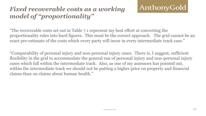# *Fixed recoverable costs as a working model of "proportionality"*

"The recoverable costs set out in Table 7.1 represent my best effort at converting the proportionality rules into hard figures. This must be the correct approach. The grid cannot be an exact pre-estimate of the costs which every party will incur in every intermediate track case."

"Comparability of personal injury and non-personal injury cases. There is, I suggest, sufficient flexibility in the grid to accommodate the general run of personal injury and non-personal injury cases which fall within the intermediate track. Also, as one of my assessors has pointed out, within the intermediate track we should not be putting a higher price on property and financial claims than on claims about human health."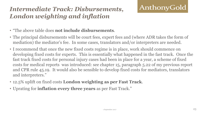# *Intermediate Track: Disbursements, London weighting and inflation*

- "The above table does **not include disbursements**.
- The principal disbursements will be court fees, expert fees and (where ADR takes the form of mediation) the mediator's fee. In some cases, translators and/or interpreters are needed.
- I recommend that once the new fixed costs regime is in place, work should commence on developing fixed costs for experts. This is essentially what happened in the fast track. Once the fast track fixed costs for personal injury cases had been in place for a year, a scheme of fixed costs for medical reports was introduced: see chapter 15, paragraph 5.22 of my previous report and CPR rule 45.19. It would also be sensible to develop fixed costs for mediators, translators and interpreters."
- 12.5% uplift on fixed costs **London weighting as per Fast Track**.
- Uprating for **inflation every three years** as per Fast Track."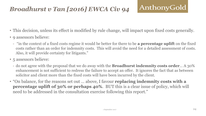# *Broadhurst v Tan [2016] EWCA Civ 94*

- This decision, unless its effect is modified by rule change, will impact upon fixed costs generally.
- 9 assessors believe:
	- "in the context of a fixed costs regime it would be better for there to be **a percentage uplift** on the fixed costs rather than an order for indemnity costs. This will avoid the need for a detailed assessment of costs. Also, it will provide certainty for litigants."
- 5 assessors believe:
	- do not agree with the proposal that we do away with the **Broadhurst indemnity costs order**… A 30% enhancement is not sufficient to redress the failure to accept an offer. It ignores the fact that as between solicitor and client more than the fixed costs will have been incurred by the client.
- "On balance, for the reasons set out … above, I favour **replacing indemnity costs with a percentage uplift of 30% or perhaps 40%**. BUT this is a clear issue of policy, which will need to be addressed in the consultation exercise following this report."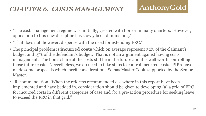### *CHAPTER 6. COSTS MANAGEMENT*

- "The costs management regime was, initially, greeted with horror in many quarters. However, opposition to this new discipline has slowly been diminishing."
- "That does not, however, dispense with the need for extending FRC."
- The principal problem is **incurred costs** which on average represent 32% of the claimant's budget and 15% of the defendant's budget. That is not an argument against having costs management. The lion's share of the costs still lie in the future and it is well worth controlling those future costs. Nevertheless, we do need to take steps to control incurred costs. PIBA have made some proposals which merit consideration. So has Master Cook, supported by the Senior Master.
- "Recommendation. When the reforms recommended elsewhere in this report have been implemented and have bedded in, consideration should be given to developing (a) a grid of FRC for incurred costs in different categories of case and (b) a pre-action procedure for seeking leave to exceed the FRC in that grid."